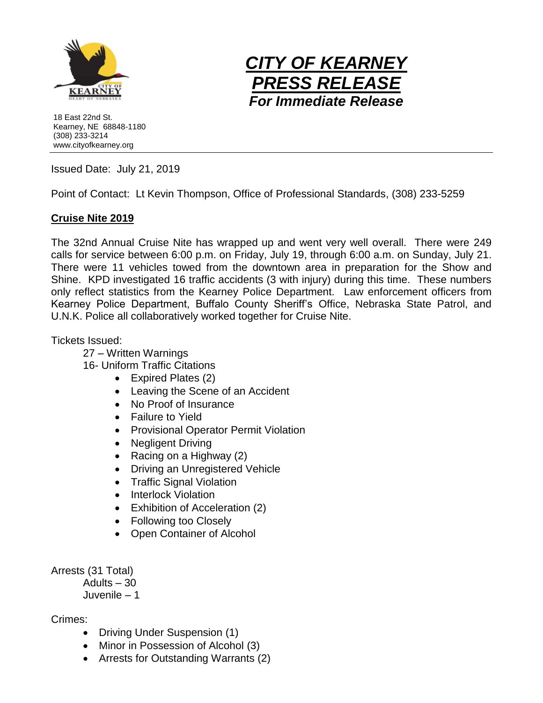

*CITY OF KEARNEY PRESS RELEASE For Immediate Release*

18 East 22nd St. Kearney, NE 68848-1180 (308) 233-3214 www.cityofkearney.org

Issued Date: July 21, 2019

Point of Contact: Lt Kevin Thompson, Office of Professional Standards, (308) 233-5259

## **Cruise Nite 2019**

The 32nd Annual Cruise Nite has wrapped up and went very well overall. There were 249 calls for service between 6:00 p.m. on Friday, July 19, through 6:00 a.m. on Sunday, July 21. There were 11 vehicles towed from the downtown area in preparation for the Show and Shine. KPD investigated 16 traffic accidents (3 with injury) during this time. These numbers only reflect statistics from the Kearney Police Department. Law enforcement officers from Kearney Police Department, Buffalo County Sheriff's Office, Nebraska State Patrol, and U.N.K. Police all collaboratively worked together for Cruise Nite.

Tickets Issued:

27 – Written Warnings

16- Uniform Traffic Citations

- Expired Plates (2)
- Leaving the Scene of an Accident
- No Proof of Insurance
- Failure to Yield
- Provisional Operator Permit Violation
- Negligent Driving
- Racing on a Highway  $(2)$
- Driving an Unregistered Vehicle
- Traffic Signal Violation
- Interlock Violation
- Exhibition of Acceleration (2)
- Following too Closely
- Open Container of Alcohol

Arrests (31 Total)

Adults – 30

Juvenile – 1

Crimes:

- Driving Under Suspension (1)
- Minor in Possession of Alcohol (3)
- Arrests for Outstanding Warrants (2)